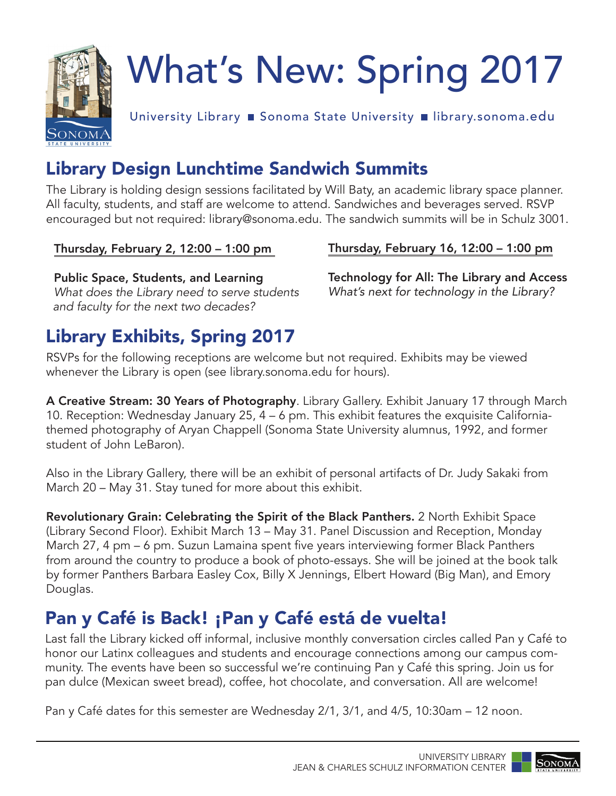

# What's New: Spring 2017

University Library ■ Sonoma State University ■ [library.sonoma.edu](https://library.sonoma.edu)

## Library Design Lunchtime Sandwich Summits

The Library is holding design sessions facilitated by Will Baty, an academic library space planner. All faculty, students, and staff are welcome to attend. Sandwiches and beverages served. RSVP encouraged but not required: [library@sonoma.edu](mailto:library@sonoma.edu). The sandwich summits will be in Schulz 3001.

Public Space, Students, and Learning Technology for All: The Library and Access *What does the Library need to serve students What's next for technology in the Library? and faculty for the next two decades?* 

Thursday, February 2, 12:00 – 1:00 pm Thursday, February 16, 12:00 – 1:00 pm

### Library Exhibits, Spring 2017

RSVPs for the following receptions are welcome but not required. Exhibits may be viewed whenever the Library is open (see [library.sonoma.edu](https://library.sonoma.edu) for hours).

A Creative Stream: 30 Years of Photography. Library Gallery. Exhibit January 17 through March 10. Reception: Wednesday January 25, 4 – 6 pm. This exhibit features the exquisite Californiathemed photography of Aryan Chappell (Sonoma State University alumnus, 1992, and former student of John LeBaron).

Also in the Library Gallery, there will be an exhibit of personal artifacts of Dr. Judy Sakaki from March 20 – May 31. Stay tuned for more about this exhibit.

Revolutionary Grain: Celebrating the Spirit of the Black Panthers. 2 North Exhibit Space (Library Second Floor). Exhibit March 13 – May 31. Panel Discussion and Reception, Monday March 27, 4 pm – 6 pm. Suzun Lamaina spent five years interviewing former Black Panthers from around the country to produce a book of photo-essays. She will be joined at the book talk by former Panthers Barbara Easley Cox, Billy X Jennings, Elbert Howard (Big Man), and Emory Douglas.

### Pan y Café is Back! ¡Pan y Café está de vuelta!

Last fall the Library kicked off informal, inclusive monthly conversation circles called Pan y Café to honor our Latinx colleagues and students and encourage connections among our campus community. The events have been so successful we're continuing Pan y Café this spring. Join us for pan dulce (Mexican sweet bread), coffee, hot chocolate, and conversation. All are welcome!

Pan y Café dates for this semester are Wednesday 2/1, 3/1, and 4/5, 10:30am – 12 noon.